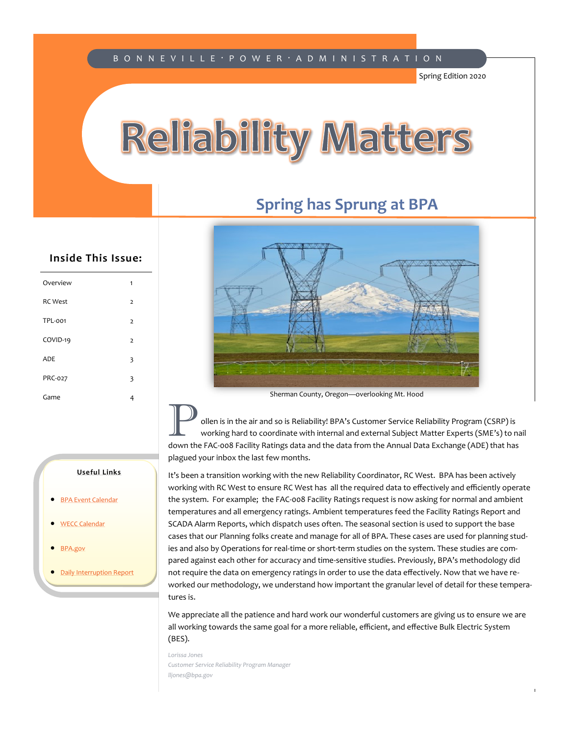#### B O N N E V I L L E · P O W E R · A D M I N I S T R A T I O N

Spring Edition 2020

## Reliability Matters

#### **Spring has Sprung at BPA**



#### **Inside This Issue:**

| Overview       | 1              |
|----------------|----------------|
| <b>RC</b> West | $\overline{2}$ |
| <b>TPL-001</b> | $\overline{2}$ |
| COVID-19       | 2              |
| ADE            | 3              |
| PRC-027        | 3              |
| Game           | 4              |
|                |                |

#### Sherman County, Oregon—overlooking Mt. Hood

**Pollen is in the air and so is Reliability! BPA's Customer Service Reliability Program (CSRP) is working hard to coordinate with internal and external Subject Matter Experts (SME's) to nail down the FAC east Facility Pati** down the FAC-008 Facility Ratings data and the data from the Annual Data Exchange (ADE) that has plagued your inbox the last few months.

It's been a transition working with the new Reliability Coordinator, RC West. BPA has been actively working with RC West to ensure RC West has all the required data to effectively and efficiently operate the system. For example; the FAC-008 Facility Ratings request is now asking for normal and ambient temperatures and all emergency ratings. Ambient temperatures feed the Facility Ratings Report and SCADA Alarm Reports, which dispatch uses often. The seasonal section is used to support the base cases that our Planning folks create and manage for all of BPA. These cases are used for planning studies and also by Operations for real-time or short-term studies on the system. These studies are compared against each other for accuracy and time-sensitive studies. Previously, BPA's methodology did not require the data on emergency ratings in order to use the data effectively. Now that we have reworked our methodology, we understand how important the granular level of detail for these temperatures is.

We appreciate all the patience and hard work our wonderful customers are giving us to ensure we are all working towards the same goal for a more reliable, efficient, and effective Bulk Electric System (BES).

*Lorissa Jones Customer Service Reliability Program Manager lljones@bpa.gov*

#### **Useful Links**

- [BPA Event Calendar](https://www.bpa.gov/PublicInvolvement/Cal/Pages/CalendarList.aspx)
- [WECC Calendar](https://www.wecc.org/Pages/Calendar.aspx)
- [BPA.gov](https://www.bpa.gov/Pages/home.aspx)
- [Daily Interruption Report](https://transmission.bpa.gov/Business/Operations/Outages/DIR/Sun.HTM)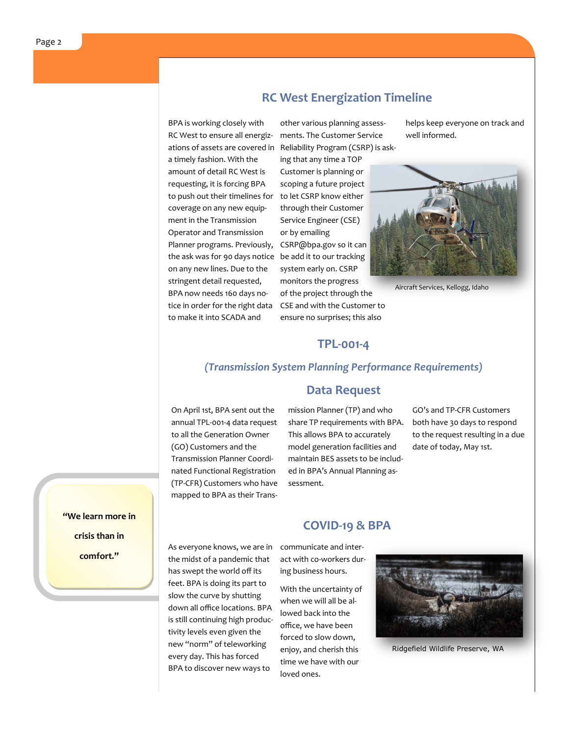### **RC West Energization Timeline**

BPA is working closely with RC West to ensure all energizations of assets are covered in a timely fashion. With the amount of detail RC West is requesting, it is forcing BPA to push out their timelines for coverage on any new equipment in the Transmission Operator and Transmission Planner programs. Previously, the ask was for 90 days notice be add it to our tracking on any new lines. Due to the stringent detail requested, BPA now needs 160 days notice in order for the right data to make it into SCADA and

other various planning assessments. The Customer Service Reliability Program (CSRP) is ask-

ing that any time a TOP Customer is planning or scoping a future project to let CSRP know either through their Customer Service Engineer (CSE) or by emailing CSRP@bpa.gov so it can system early on. CSRP monitors the progress of the project through the CSE and with the Customer to ensure no surprises; this also

helps keep everyone on track and well informed.



Aircraft Services, Kellogg, Idaho

#### **TPL-001-4**

#### *(Transmission System Planning Performance Requirements)*

On April 1st, BPA sent out the annual TPL-001-4 data request to all the Generation Owner (GO) Customers and the Transmission Planner Coordinated Functional Registration (TP-CFR) Customers who have mapped to BPA as their Trans-

#### **Data Request**

mission Planner (TP) and who share TP requirements with BPA. This allows BPA to accurately model generation facilities and maintain BES assets to be included in BPA's Annual Planning assessment.

**COVID-19 & BPA**

GO's and TP-CFR Customers both have 30 days to respond to the request resulting in a due date of today, May 1st.

**"We learn more in crisis than in comfort."**

As everyone knows, we are in the midst of a pandemic that has swept the world off its feet. BPA is doing its part to slow the curve by shutting down all office locations. BPA is still continuing high productivity levels even given the new "norm" of teleworking every day. This has forced BPA to discover new ways to

communicate and interact with co-workers during business hours.

With the uncertainty of when we will all be allowed back into the office, we have been forced to slow down, enjoy, and cherish this time we have with our loved ones.



Ridgefield Wildlife Preserve, WA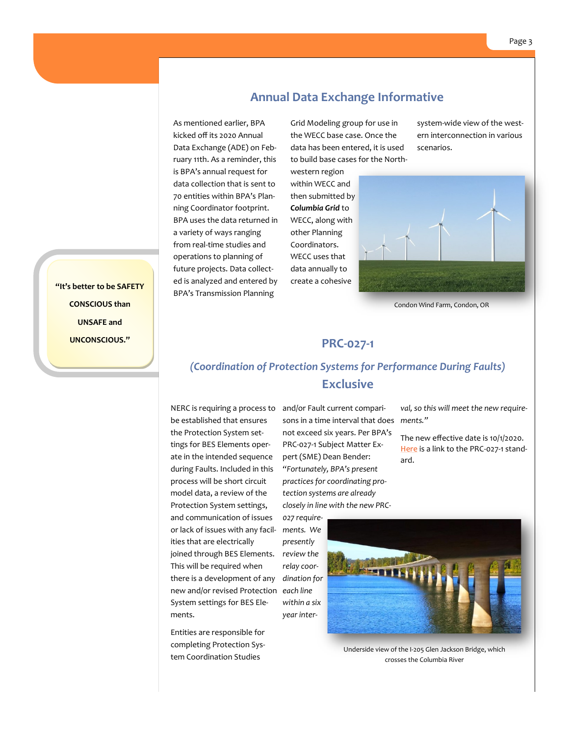#### **"It's better to be SAFETY CONSCIOUS than UNSAFE and UNCONSCIOUS."**

#### **Annual Data Exchange Informative**

As mentioned earlier, BPA kicked off its 2020 Annual Data Exchange (ADE) on February 11th. As a reminder, this is BPA's annual request for data collection that is sent to 70 entities within BPA's Planning Coordinator footprint. BPA uses the data returned in a variety of ways ranging from real-time studies and operations to planning of future projects. Data collected is analyzed and entered by BPA's Transmission Planning

Grid Modeling group for use in the WECC base case. Once the data has been entered, it is used to build base cases for the North-

western region within WECC and then submitted by *Columbia Grid* to WECC, along with other Planning Coordinators. WECC uses that data annually to create a cohesive

system-wide view of the western interconnection in various scenarios.



Condon Wind Farm, Condon, OR

#### **PRC-027-1**

#### *(Coordination of Protection Systems for Performance During Faults)*  **Exclusive**

joined through BES Elements. *review the* new and/or revised Protection each line be established that ensures the Protection System settings for BES Elements operate in the intended sequence during Faults. Included in this process will be short circuit model data, a review of the Protection System settings, and communication of issues or lack of issues with any facilities that are electrically This will be required when there is a development of any System settings for BES Elements.

Entities are responsible for completing Protection System Coordination Studies

NERC is requiring a process to and/or Fault current comparisons in a time interval that does *ments."* not exceed six years. Per BPA's PRC-027-1 Subject Matter Expert (SME) Dean Bender: *"Fortunately, BPA's present practices for coordinating protection systems are already closely in line with the new PRC-*

> *027 requirements. We presently relay coordination for within a six year inter-*

*val, so this will meet the new require-*

The new effective date is 10/1/2020. [Here](https://www.nerc.com/_layouts/15/PrintStandard.aspx?standardnumber=PRC-027-1&title=Coordination%20of%20Protection%20Systems%20for%20Performance%20During%20Faults&jurisdiction=United%20States) is a link to the PRC-027-1 standard.



Underside view of the I-205 Glen Jackson Bridge, which crosses the Columbia River